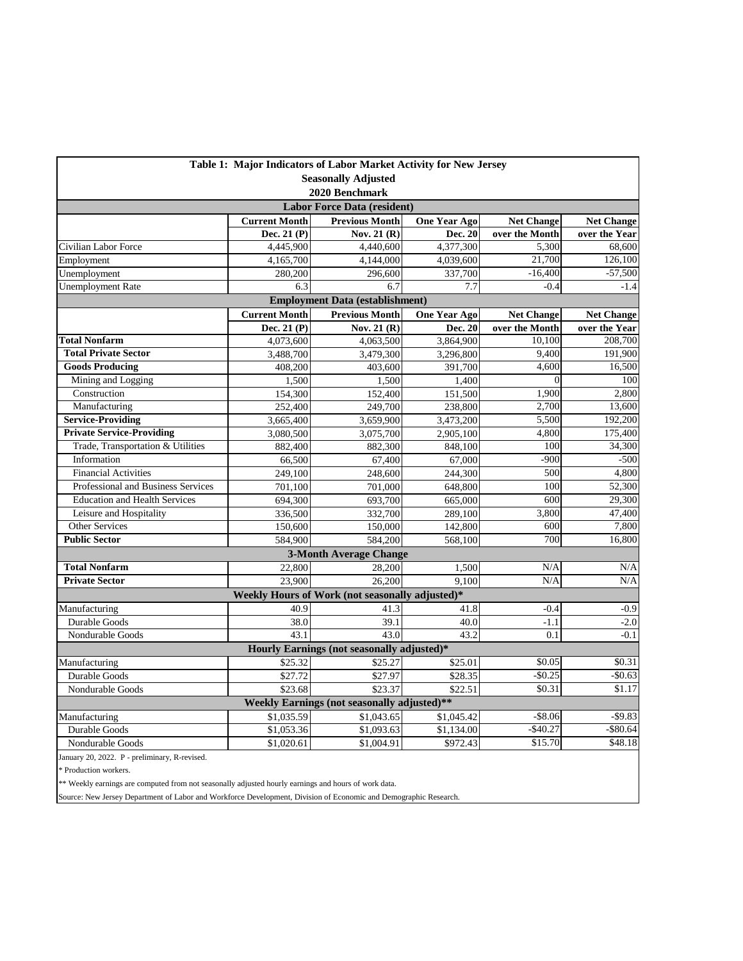| Table 1: Major Indicators of Labor Market Activity for New Jersey                   |                      |                                                 |                     |                   |                   |  |  |  |
|-------------------------------------------------------------------------------------|----------------------|-------------------------------------------------|---------------------|-------------------|-------------------|--|--|--|
| <b>Seasonally Adjusted</b>                                                          |                      |                                                 |                     |                   |                   |  |  |  |
| 2020 Benchmark                                                                      |                      |                                                 |                     |                   |                   |  |  |  |
| <b>Labor Force Data (resident)</b>                                                  |                      |                                                 |                     |                   |                   |  |  |  |
|                                                                                     | <b>Current Month</b> | <b>Previous Month</b>                           | <b>One Year Ago</b> | <b>Net Change</b> | <b>Net Change</b> |  |  |  |
|                                                                                     | Dec. 21 $(P)$        | Nov. 21 $(R)$                                   | Dec. 20             | over the Month    | over the Year     |  |  |  |
| Civilian Labor Force                                                                | 4,445,900            | 4,440,600                                       | 4,377,300           | 5,300             | 68,600            |  |  |  |
| Employment                                                                          | 4,165,700            | 4,144,000                                       | 4,039,600           | 21,700            | 126,100           |  |  |  |
| Unemployment                                                                        | 280,200              | 296,600                                         | 337,700             | $-16,400$         | $-57,500$         |  |  |  |
| <b>Unemployment Rate</b>                                                            | 6.3                  | 6.7                                             | 7.7                 | $-0.4$            | $-1.4$            |  |  |  |
| <b>Employment Data (establishment)</b>                                              |                      |                                                 |                     |                   |                   |  |  |  |
|                                                                                     | <b>Current Month</b> | <b>Previous Month</b>                           | <b>One Year Ago</b> | <b>Net Change</b> | <b>Net Change</b> |  |  |  |
|                                                                                     | Dec. 21 $(P)$        | Nov. 21 $(R)$                                   | Dec. 20             | over the Month    | over the Year     |  |  |  |
| <b>Total Nonfarm</b>                                                                | 4,073,600            | 4,063,500                                       | 3,864,900           | 10.100            | 208,700           |  |  |  |
| <b>Total Private Sector</b>                                                         | 3,488,700            | 3,479,300                                       | 3,296,800           | 9,400             | 191,900           |  |  |  |
| <b>Goods Producing</b>                                                              | 408,200              | 403,600                                         | 391,700             | 4,600             | 16,500            |  |  |  |
| Mining and Logging                                                                  | 1,500                | 1,500                                           | 1,400               | $\Omega$          | 100               |  |  |  |
| Construction                                                                        | 154,300              | 152,400                                         | 151,500             | 1,900             | 2,800             |  |  |  |
| Manufacturing                                                                       | 252,400              | 249,700                                         | 238,800             | 2,700             | 13,600            |  |  |  |
| <b>Service-Providing</b>                                                            | 3,665,400            | 3,659,900                                       | 3,473,200           | 5,500             | 192,200           |  |  |  |
| <b>Private Service-Providing</b>                                                    | 3,080,500            | 3,075,700                                       | 2,905,100           | 4.800             | 175,400           |  |  |  |
| Trade, Transportation & Utilities                                                   | 882,400              | 882,300                                         | 848,100             | 100               | 34,300            |  |  |  |
| Information                                                                         | 66,500               | 67,400                                          | 67,000              | $-900$            | $-500$            |  |  |  |
| <b>Financial Activities</b>                                                         | 249,100              | 248,600                                         | 244,300             | 500               | 4,800             |  |  |  |
| Professional and Business Services                                                  | 701,100              | 701,000                                         | 648,800             | 100               | 52,300            |  |  |  |
| <b>Education and Health Services</b>                                                | 694,300              | 693,700                                         | 665,000             | 600               | 29,300            |  |  |  |
| Leisure and Hospitality                                                             | 336,500              | 332,700                                         | 289,100             | 3.800             | 47,400            |  |  |  |
| Other Services                                                                      | 150,600              | 150,000                                         | 142,800             | 600               | 7,800             |  |  |  |
| <b>Public Sector</b>                                                                | 584.900              | 584,200                                         | 568,100             | 700               | 16,800            |  |  |  |
|                                                                                     |                      | <b>3-Month Average Change</b>                   |                     |                   |                   |  |  |  |
| <b>Total Nonfarm</b>                                                                | 22,800               | 28,200                                          | 1,500               | N/A               | N/A               |  |  |  |
| <b>Private Sector</b>                                                               | 23,900               | 26,200                                          | $\frac{1}{9,100}$   | N/A               | N/A               |  |  |  |
|                                                                                     |                      | Weekly Hours of Work (not seasonally adjusted)* |                     |                   |                   |  |  |  |
| Manufacturing                                                                       | 40.9                 | 41.3                                            | 41.8                | $-0.4$            | $-0.9$            |  |  |  |
| Durable Goods                                                                       | 38.0                 | 39.1                                            | 40.0                | $-1.1$            | $-2.0$            |  |  |  |
| Nondurable Goods                                                                    | 43.1                 | 43.0                                            | 43.2                | 0.1               | $-0.1$            |  |  |  |
| Hourly Earnings (not seasonally adjusted)*                                          |                      |                                                 |                     |                   |                   |  |  |  |
| Manufacturing                                                                       | \$25.32              | \$25.27                                         | \$25.01             | \$0.05            | \$0.31            |  |  |  |
| Durable Goods                                                                       | \$27.72              | \$27.97                                         | \$28.35             | $-$0.25$          | $-$ \$0.63        |  |  |  |
| Nondurable Goods                                                                    | \$23.68              | \$23.37                                         | \$22.51             | \$0.31            | \$1.17            |  |  |  |
| Weekly Earnings (not seasonally adjusted)**                                         |                      |                                                 |                     |                   |                   |  |  |  |
| $-$ \$8.06<br>$-$ \$9.83<br>\$1,035.59<br>\$1,043.65<br>Manufacturing<br>\$1,045.42 |                      |                                                 |                     |                   |                   |  |  |  |
| Durable Goods                                                                       | \$1,053.36           | \$1,093.63                                      | \$1,134.00          | $-$40.27$         | $-$ \$80.64       |  |  |  |
| Nondurable Goods                                                                    | \$1,020.61           | \$1,004.91                                      | \$972.43            | \$15.70           | \$48.18           |  |  |  |
| January 20, 2022. P - preliminary, R-revised.                                       |                      |                                                 |                     |                   |                   |  |  |  |

 $\hspace{0.1mm}^*$  Production workers.

\*\* Weekly earnings are computed from not seasonally adjusted hourly earnings and hours of work data.

Source: New Jersey Department of Labor and Workforce Development, Division of Economic and Demographic Research.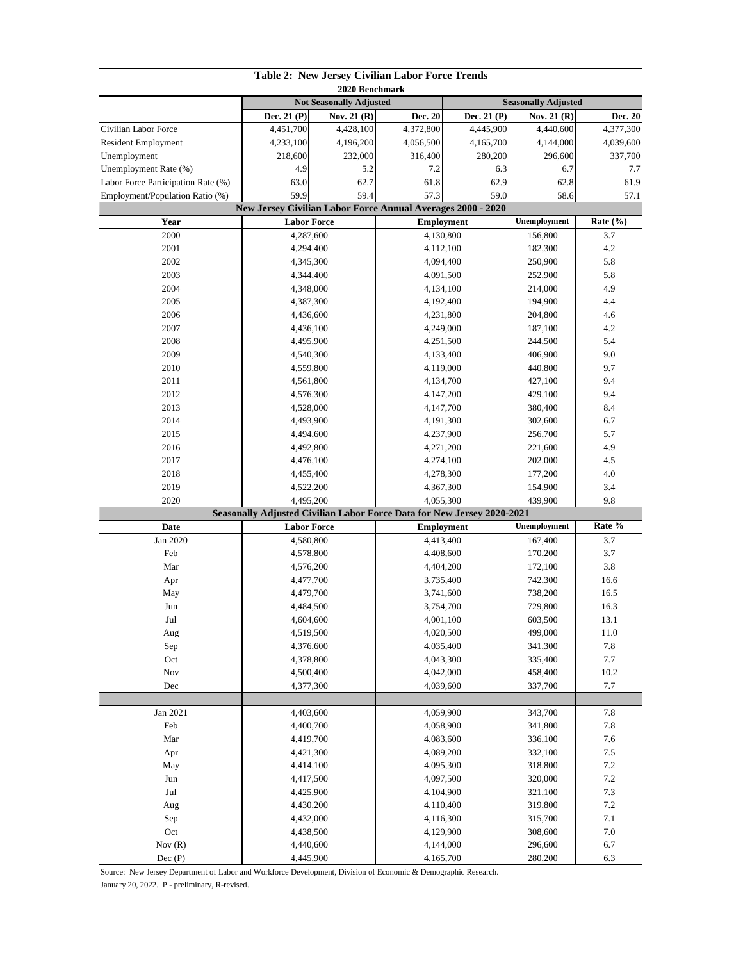| Table 2: New Jersey Civilian Labor Force Trends<br>2020 Benchmark |                                |             |                                                                        |                                                                    |                    |              |  |
|-------------------------------------------------------------------|--------------------------------|-------------|------------------------------------------------------------------------|--------------------------------------------------------------------|--------------------|--------------|--|
|                                                                   | <b>Not Seasonally Adjusted</b> |             |                                                                        | <b>Seasonally Adjusted</b>                                         |                    |              |  |
|                                                                   | Dec. 21 (P)                    | Nov. 21 (R) | Dec. 20                                                                | Dec. 21 (P)                                                        | Nov. 21 (R)        | Dec. 20      |  |
| Civilian Labor Force                                              | 4,451,700                      | 4,428,100   | 4,372,800                                                              | 4,445,900                                                          | 4,440,600          | 4,377,300    |  |
| <b>Resident Employment</b>                                        | 4,233,100                      | 4,196,200   | 4,056,500                                                              | 4,165,700                                                          | 4,144,000          | 4,039,600    |  |
| Unemployment                                                      | 218,600                        | 232,000     | 316,400                                                                | 280,200                                                            | 296,600            | 337,700      |  |
| Unemployment Rate (%)                                             | 4.9                            | 5.2         | 7.2                                                                    | 6.3                                                                | 6.7                | 7.7          |  |
| Labor Force Participation Rate (%)                                | 63.0                           | 62.7        | 61.8                                                                   | 62.9                                                               | 62.8               | 61.9         |  |
| Employment/Population Ratio (%)                                   | 59.9                           | 59.4        | 57.3                                                                   | 59.0                                                               |                    | 57.1         |  |
|                                                                   |                                |             |                                                                        | <b>New Jersey Civilian Labor Force Annual Averages 2000 - 2020</b> |                    | 58.6         |  |
| Year                                                              | <b>Labor Force</b>             |             |                                                                        | <b>Employment</b>                                                  |                    | Rate $(\% )$ |  |
| 2000                                                              | 4,287,600                      |             |                                                                        | 4,130,800                                                          |                    | 3.7          |  |
| 2001                                                              | 4,294,400                      |             | 4,112,100                                                              |                                                                    | 182,300            | 4.2          |  |
| 2002                                                              |                                | 4,345,300   |                                                                        | 4,094,400                                                          |                    | 5.8          |  |
| 2003                                                              |                                | 4,344,400   | 4,091,500                                                              |                                                                    | 250,900<br>252,900 | 5.8          |  |
| 2004                                                              | 4,348,000                      |             | 4,134,100                                                              |                                                                    | 214,000            | 4.9          |  |
| 2005                                                              | 4,387,300                      |             |                                                                        | 4,192,400                                                          |                    | 4.4          |  |
| 2006                                                              | 4,436,600                      |             |                                                                        | 4,231,800                                                          | 204,800            | 4.6          |  |
| 2007                                                              | 4,436,100                      |             |                                                                        | 4,249,000                                                          | 187,100            | 4.2          |  |
| 2008                                                              |                                | 4,495,900   |                                                                        | 4,251,500                                                          | 244,500            | 5.4          |  |
| 2009                                                              |                                | 4,540,300   |                                                                        | 4,133,400                                                          | 406,900            | 9.0          |  |
| 2010                                                              |                                | 4,559,800   |                                                                        | 4,119,000                                                          | 440,800            | 9.7          |  |
| 2011                                                              |                                | 4,561,800   |                                                                        | 4,134,700                                                          | 427,100            | 9.4          |  |
| 2012                                                              | 4,576,300                      |             |                                                                        | 4,147,200                                                          | 429,100            | 9.4          |  |
| 2013                                                              | 4,528,000                      |             |                                                                        | 4,147,700                                                          |                    | 8.4          |  |
| 2014                                                              | 4,493,900                      |             | 4,191,300                                                              |                                                                    | 380,400<br>302,600 | 6.7          |  |
| 2015                                                              |                                | 4,494,600   | 4,237,900                                                              |                                                                    | 256,700            | 5.7          |  |
| 2016                                                              | 4,492,800                      |             | 4,271,200                                                              |                                                                    | 221,600            | 4.9          |  |
| 2017                                                              | 4,476,100                      |             | 4,274,100                                                              |                                                                    | 202,000            | 4.5          |  |
| 2018                                                              |                                | 4,455,400   | 4,278,300                                                              |                                                                    | 177,200            | 4.0          |  |
| 2019                                                              | 4,522,200                      |             | 4,367,300                                                              |                                                                    | 154,900            | 3.4          |  |
| 2020                                                              | 4,495,200                      |             | 4,055,300                                                              |                                                                    | 439,900            | 9.8          |  |
|                                                                   |                                |             | Seasonally Adjusted Civilian Labor Force Data for New Jersey 2020-2021 |                                                                    |                    |              |  |
| Date                                                              | <b>Labor Force</b>             |             | <b>Employment</b>                                                      |                                                                    | Unemployment       | Rate %       |  |
| Jan 2020                                                          |                                | 4,580,800   | 4,413,400                                                              |                                                                    | 167,400            | 3.7          |  |
| Feb                                                               | 4,578,800                      |             | 4,408,600                                                              |                                                                    | 170,200            | 3.7          |  |
| Mar                                                               |                                | 4,576,200   | 4,404,200                                                              |                                                                    | 172,100            | 3.8          |  |
| Apr                                                               | 4,477,700                      |             | 3,735,400                                                              |                                                                    | 742,300            | 16.6         |  |
| May                                                               | 4,479,700                      |             | 3,741,600                                                              |                                                                    | 738,200            | 16.5         |  |
| Jun                                                               | 4,484,500                      |             | 3,754,700                                                              |                                                                    | 729,800            | 16.3         |  |
| Jul                                                               | 4,604,600                      |             | 4,001,100                                                              |                                                                    | 603,500            | 13.1         |  |
| Aug                                                               | 4,519,500                      |             | 4,020,500                                                              |                                                                    | 499,000            | 11.0         |  |
| Sep                                                               | 4,376,600                      |             | 4,035,400                                                              |                                                                    | 341,300            | $7.8\,$      |  |
| Oct                                                               | 4,378,800                      |             | 4,043,300                                                              |                                                                    | 335,400            | 7.7          |  |
| Nov                                                               | 4,500,400                      |             | 4,042,000                                                              |                                                                    | 458,400            | 10.2         |  |
| $\rm Dec$                                                         | 4,377,300                      |             | 4,039,600                                                              |                                                                    | 337,700            | 7.7          |  |
|                                                                   |                                |             |                                                                        |                                                                    |                    |              |  |
| Jan 2021                                                          | 4,403,600                      |             | 4,059,900                                                              |                                                                    | 343,700            | 7.8          |  |
| Feb                                                               | 4,400,700                      |             | 4,058,900                                                              |                                                                    | 341,800            | 7.8          |  |
| Mar                                                               | 4,419,700                      |             | 4,083,600                                                              |                                                                    | 336,100            | 7.6          |  |
| Apr                                                               | 4,421,300                      |             | 4,089,200                                                              |                                                                    | 332,100            | 7.5          |  |
| May                                                               | 4,414,100                      |             | 4,095,300                                                              |                                                                    | 318,800            | $7.2\,$      |  |
| Jun                                                               | 4,417,500                      |             | 4,097,500                                                              |                                                                    | 320,000            | 7.2          |  |
| Jul                                                               | 4,425,900                      |             | 4,104,900                                                              |                                                                    | 321,100            | 7.3          |  |
| Aug                                                               | 4,430,200                      |             | 4,110,400                                                              |                                                                    | 319,800            | 7.2          |  |
| Sep                                                               | 4,432,000                      |             |                                                                        | 4,116,300                                                          |                    | $7.1\,$      |  |
| Oct                                                               | 4,438,500                      |             |                                                                        | 4,129,900                                                          | 308,600            | $7.0\,$      |  |
| Nov $(R)$                                                         | 4,440,600                      |             |                                                                        | 4,144,000                                                          | 296,600<br>280,200 | 6.7          |  |
| Dec (P)                                                           | 4,445,900                      |             |                                                                        | 4,165,700                                                          |                    | 6.3          |  |

Source: New Jersey Department of Labor and Workforce Development, Division of Economic & Demographic Research.

January 20, 2022. P - preliminary, R-revised.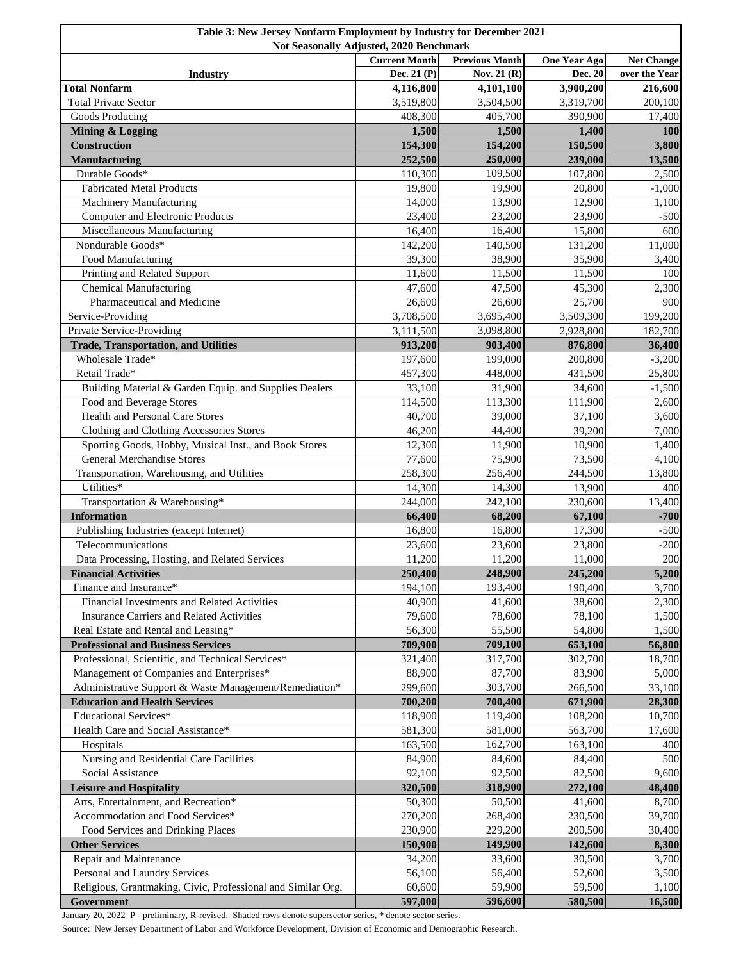| Table 3: New Jersey Nonfarm Employment by Industry for December 2021<br>Not Seasonally Adjusted, 2020 Benchmark |                      |                       |                     |                   |  |
|-----------------------------------------------------------------------------------------------------------------|----------------------|-----------------------|---------------------|-------------------|--|
|                                                                                                                 | <b>Current Month</b> | <b>Previous Month</b> | <b>One Year Ago</b> | <b>Net Change</b> |  |
| <b>Industry</b>                                                                                                 | Dec. 21 (P)          | Nov. 21 $(R)$         | Dec. 20             | over the Year     |  |
| <b>Total Nonfarm</b>                                                                                            | 4,116,800            | 4,101,100             | 3,900,200           | 216,600           |  |
| <b>Total Private Sector</b>                                                                                     | 3,519,800            | 3,504,500             | 3,319,700           | 200,100           |  |
| Goods Producing                                                                                                 | 408,300              | 405,700               | 390,900             | 17,400            |  |
| <b>Mining &amp; Logging</b>                                                                                     | 1,500                | 1,500                 | 1,400               | <b>100</b>        |  |
| <b>Construction</b>                                                                                             | 154,300              | 154,200               | 150,500             | 3,800             |  |
| <b>Manufacturing</b>                                                                                            | 252,500              | 250,000               | 239,000             | 13,500            |  |
| Durable Goods*                                                                                                  | 110,300              | 109,500               | 107,800             | 2,500             |  |
| <b>Fabricated Metal Products</b>                                                                                | 19,800               | 19,900                | 20,800              | $-1,000$          |  |
| Machinery Manufacturing                                                                                         | 14,000               | 13,900                | 12,900              | 1,100             |  |
| <b>Computer and Electronic Products</b>                                                                         | 23,400               | 23,200                | 23,900              | $-500$            |  |
| Miscellaneous Manufacturing                                                                                     | 16,400               | 16,400                | 15,800              | 600               |  |
| Nondurable Goods*                                                                                               | 142,200              | 140,500               | 131,200             | 11,000            |  |
| Food Manufacturing                                                                                              | 39,300               | 38,900                | 35,900              | 3,400             |  |
| Printing and Related Support                                                                                    | 11,600               | 11,500                | 11,500              | 100               |  |
| <b>Chemical Manufacturing</b>                                                                                   | 47,600               | 47,500                | 45,300              | 2,300             |  |
| Pharmaceutical and Medicine                                                                                     | 26,600               | 26,600                | 25,700              | 900               |  |
| Service-Providing                                                                                               | 3,708,500            | 3,695,400             | 3,509,300           | 199,200           |  |
| Private Service-Providing                                                                                       | 3,111,500            | 3,098,800             | 2,928,800           | 182,700           |  |
| <b>Trade, Transportation, and Utilities</b>                                                                     | 913,200              | 903,400               | 876,800             | 36,400            |  |
| Wholesale Trade*                                                                                                | 197,600              | 199,000               | 200,800             | $-3,200$          |  |
| Retail Trade*                                                                                                   | 457,300              | 448,000               | 431,500             | 25,800            |  |
| Building Material & Garden Equip. and Supplies Dealers                                                          | 33,100               | 31,900                | 34,600              | $-1,500$          |  |
| Food and Beverage Stores                                                                                        | 114,500              | 113,300               | 111,900             | 2,600             |  |
| Health and Personal Care Stores                                                                                 | 40,700               | 39,000                | 37,100              | 3,600             |  |
| Clothing and Clothing Accessories Stores                                                                        | 46,200               | 44,400                | 39,200              | 7,000             |  |
| Sporting Goods, Hobby, Musical Inst., and Book Stores                                                           | 12,300               | 11,900                | 10,900              | 1,400             |  |
| <b>General Merchandise Stores</b>                                                                               | 77,600               | 75,900                | 73,500              | 4,100             |  |
| Transportation, Warehousing, and Utilities                                                                      | 258,300              | 256,400               | 244,500             | 13,800            |  |
| Utilities*                                                                                                      | 14,300               | 14,300                | 13,900              | 400               |  |
| Transportation & Warehousing*                                                                                   | 244,000              | 242,100               | 230,600             | 13,400            |  |
| <b>Information</b>                                                                                              | 66,400               | 68,200                | 67,100              | $-700$            |  |
| Publishing Industries (except Internet)                                                                         | 16,800               | 16,800                | 17,300              | $-500$            |  |
| Telecommunications                                                                                              | 23,600               | 23,600                | 23,800              | $-200$            |  |
| Data Processing, Hosting, and Related Services                                                                  | 11,200               | 11,200                | 11,000              | 200               |  |
| <b>Financial Activities</b>                                                                                     | 250,400              | 248,900               | 245,200             | 5,200             |  |
| Finance and Insurance*                                                                                          | 194,100              | 193,400               | 190,400             | 3,700             |  |
| Financial Investments and Related Activities                                                                    | 40,900               | 41,600                | 38,600              | 2,300             |  |
| Insurance Carriers and Related Activities                                                                       | 79,600               | 78,600                | 78,100              | 1,500             |  |
| Real Estate and Rental and Leasing*                                                                             | 56,300<br>709,900    | 55,500                | 54,800<br>653,100   | 1,500             |  |
| <b>Professional and Business Services</b>                                                                       |                      | 709,100<br>317,700    |                     | 56,800            |  |
| Professional, Scientific, and Technical Services*                                                               | 321,400<br>88,900    |                       | 302,700<br>83,900   | 18,700            |  |
| Management of Companies and Enterprises*<br>Administrative Support & Waste Management/Remediation*              | 299,600              | 87,700<br>303,700     |                     | 5,000             |  |
|                                                                                                                 | 700,200              | 700,400               | 266,500             | 33,100            |  |
| <b>Education and Health Services</b><br>Educational Services*                                                   | 118,900              | 119,400               | 671,900<br>108,200  | 28,300<br>10,700  |  |
| Health Care and Social Assistance*                                                                              | 581,300              | 581,000               | 563,700             | 17,600            |  |
| Hospitals                                                                                                       | 163,500              | 162,700               | 163,100             | 400               |  |
| Nursing and Residential Care Facilities                                                                         | 84,900               | 84,600                | 84,400              | 500               |  |
| Social Assistance                                                                                               | 92,100               | 92,500                | 82,500              | 9,600             |  |
| <b>Leisure and Hospitality</b>                                                                                  | 320,500              | 318,900               | 272,100             | 48,400            |  |
| Arts, Entertainment, and Recreation*                                                                            | 50,300               | 50,500                | 41,600              | 8,700             |  |
| Accommodation and Food Services*                                                                                | 270,200              | 268,400               | 230,500             | 39,700            |  |
| Food Services and Drinking Places                                                                               | 230,900              | 229,200               | 200,500             | 30,400            |  |
| <b>Other Services</b>                                                                                           | 150,900              | 149,900               | 142,600             | 8,300             |  |
| Repair and Maintenance                                                                                          | 34,200               | 33,600                | 30,500              | 3,700             |  |
| Personal and Laundry Services                                                                                   | 56,100               | 56,400                | 52,600              | 3,500             |  |
| Religious, Grantmaking, Civic, Professional and Similar Org.                                                    | 60,600               | 59,900                | 59,500              | 1,100             |  |
| Government                                                                                                      | 597,000              | 596,600               | 580,500             | 16,500            |  |

January 20, 2022 P - preliminary, R-revised. Shaded rows denote supersector series, \* denote sector series.

Source: New Jersey Department of Labor and Workforce Development, Division of Economic and Demographic Research.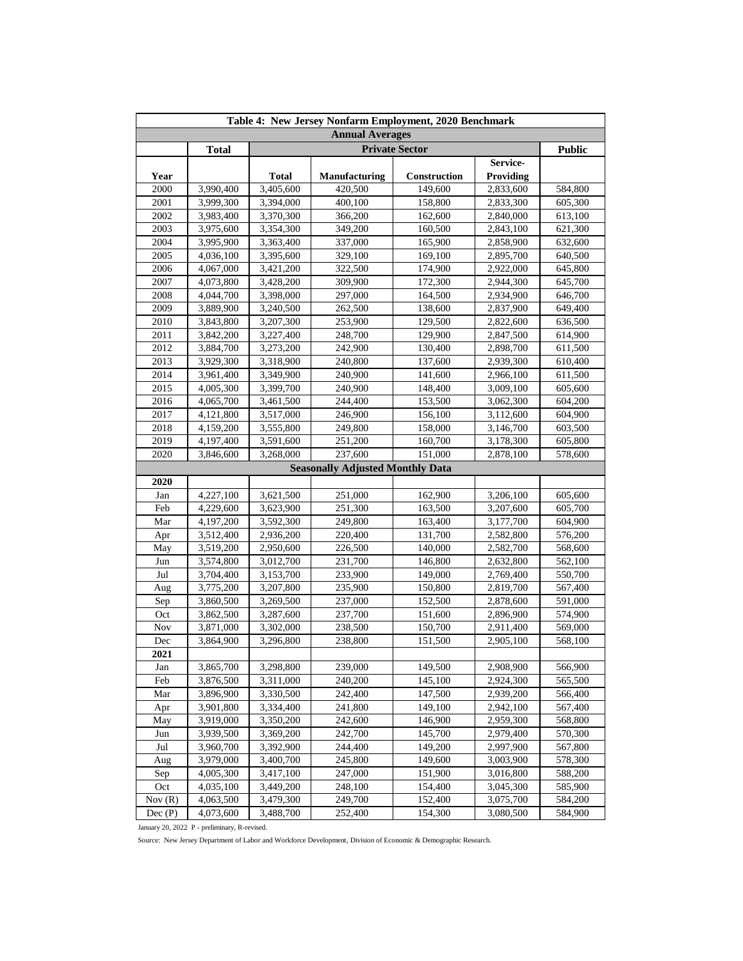|                        | Table 4: New Jersey Nonfarm Employment, 2020 Benchmark |              |                                         |                       |                  |               |  |  |
|------------------------|--------------------------------------------------------|--------------|-----------------------------------------|-----------------------|------------------|---------------|--|--|
| <b>Annual Averages</b> |                                                        |              |                                         |                       |                  |               |  |  |
|                        | <b>Total</b>                                           |              |                                         | <b>Private Sector</b> |                  | <b>Public</b> |  |  |
|                        |                                                        |              |                                         |                       | Service-         |               |  |  |
| Year                   |                                                        | <b>Total</b> | Manufacturing                           | <b>Construction</b>   | <b>Providing</b> |               |  |  |
| 2000                   | 3,990,400                                              | 3,405,600    | 420,500                                 | 149,600               | 2,833,600        | 584,800       |  |  |
| 2001                   | 3,999,300                                              | 3,394,000    | 400,100                                 | 158,800               | 2,833,300        | 605,300       |  |  |
| 2002                   | 3,983,400                                              | 3,370,300    | 366,200                                 | 162,600               | 2,840,000        | 613,100       |  |  |
| 2003                   | 3,975,600                                              | 3,354,300    | 349,200                                 | 160,500               | 2,843,100        | 621,300       |  |  |
| 2004                   | 3,995,900                                              | 3,363,400    | 337,000                                 | 165,900               | 2,858,900        | 632,600       |  |  |
| 2005                   | 4,036,100                                              | 3,395,600    | 329,100                                 | 169,100               | 2,895,700        | 640,500       |  |  |
| 2006                   | 4,067,000                                              | 3,421,200    | 322,500                                 | 174,900               | 2,922,000        | 645,800       |  |  |
| 2007                   | 4,073,800                                              | 3,428,200    | 309,900                                 | 172,300               | 2,944,300        | 645.700       |  |  |
| 2008                   | 4,044,700                                              | 3,398,000    | 297,000                                 | 164,500               | 2,934,900        | 646,700       |  |  |
| 2009                   | 3,889,900                                              | 3,240,500    | 262,500                                 | 138,600               | 2,837,900        | 649,400       |  |  |
| 2010                   | 3,843,800                                              | 3,207,300    | 253,900                                 | 129,500               | 2,822,600        | 636,500       |  |  |
| 2011                   | 3,842,200                                              | 3,227,400    | 248,700                                 | 129,900               | 2,847,500        | 614,900       |  |  |
| 2012                   | 3,884,700                                              | 3,273,200    | 242,900                                 | 130,400               | 2,898,700        | 611,500       |  |  |
| 2013                   | 3,929,300                                              | 3,318,900    | 240,800                                 | 137,600               | 2,939,300        | 610,400       |  |  |
| 2014                   | 3,961,400                                              | 3,349,900    | 240,900                                 | 141,600               | 2,966,100        | 611,500       |  |  |
| 2015                   | 4,005,300                                              | 3,399,700    | 240,900                                 | 148,400               | 3,009,100        | 605,600       |  |  |
| 2016                   | 4,065,700                                              | 3,461,500    | 244,400                                 | 153,500               | 3,062,300        | 604,200       |  |  |
| 2017                   | 4,121,800                                              | 3,517,000    | 246,900                                 | 156,100               | 3,112,600        | 604,900       |  |  |
| 2018                   | 4,159,200                                              | 3,555,800    | 249,800                                 | 158,000               | 3,146,700        | 603,500       |  |  |
| 2019                   | 4,197,400                                              | 3,591,600    | 251,200                                 | 160,700               | 3,178,300        | 605,800       |  |  |
| 2020                   | 3,846,600                                              | 3,268,000    | 237,600                                 | 151,000               | 2,878,100        | 578,600       |  |  |
|                        |                                                        |              | <b>Seasonally Adjusted Monthly Data</b> |                       |                  |               |  |  |
| 2020                   |                                                        |              |                                         |                       |                  |               |  |  |
| Jan                    | 4,227,100                                              | 3,621,500    | 251,000                                 | 162,900               | 3,206,100        | 605,600       |  |  |
| Feb                    | 4,229,600                                              | 3,623,900    | 251,300                                 | 163,500               | 3,207,600        | 605,700       |  |  |
| Mar                    | 4,197,200                                              | 3,592,300    | 249,800                                 | 163,400               | 3,177,700        | 604,900       |  |  |
| Apr                    | 3,512,400                                              | 2,936,200    | 220,400                                 | 131,700               | 2,582,800        | 576,200       |  |  |
| May                    | 3,519,200                                              | 2,950,600    | 226,500                                 | 140,000               | 2,582,700        | 568,600       |  |  |
| Jun                    | 3,574,800                                              | 3,012,700    | 231,700                                 | 146,800               | 2,632,800        | 562,100       |  |  |
| Jul                    | 3,704,400                                              | 3,153,700    | 233,900                                 | 149,000               | 2,769,400        | 550,700       |  |  |
| Aug                    | 3,775,200                                              | 3,207,800    | 235,900                                 | 150,800               | 2,819,700        | 567,400       |  |  |
| Sep                    | 3,860,500                                              | 3,269,500    | 237,000                                 | 152,500               | 2,878,600        | 591,000       |  |  |
| Oct                    | 3,862,500                                              | 3,287,600    | 237,700                                 | 151,600               | 2,896,900        | 574,900       |  |  |
| <b>Nov</b>             | 3,871,000                                              | 3,302,000    | 238,500                                 | 150,700               | 2,911,400        | 569,000       |  |  |
| Dec                    | 3,864,900                                              | 3,296,800    | 238,800                                 | 151,500               | 2,905,100        | 568,100       |  |  |
| 2021                   |                                                        |              |                                         |                       |                  |               |  |  |
| Jan                    | 3,865,700                                              | 3,298,800    | 239,000                                 | 149,500               | 2,908,900        | 566,900       |  |  |
| Feb                    | 3,876,500                                              | 3,311,000    | 240,200                                 | 145,100               | 2,924,300        | 565,500       |  |  |
| Mar                    | 3,896,900                                              | 3,330,500    | 242,400                                 | 147,500               | 2,939,200        | 566,400       |  |  |
| Apr                    | 3,901,800                                              | 3,334,400    | 241,800                                 | 149,100               | 2,942,100        | 567,400       |  |  |
| May                    | 3,919,000                                              | 3,350,200    | 242,600                                 | 146,900               | 2,959,300        | 568,800       |  |  |
| Jun                    | 3,939,500                                              | 3,369,200    | 242,700                                 | 145,700               | 2,979,400        | 570,300       |  |  |
| Jul                    | 3,960,700                                              | 3,392,900    | 244,400                                 | 149,200               | 2,997,900        | 567,800       |  |  |
| Aug                    | 3,979,000                                              | 3,400,700    | 245,800                                 | 149,600               | 3,003,900        | 578,300       |  |  |
| Sep                    | 4,005,300                                              | 3,417,100    | 247,000                                 | 151,900               | 3,016,800        | 588,200       |  |  |
| Oct                    | 4,035,100                                              | 3,449,200    | 248,100                                 | 154,400               | 3,045,300        | 585,900       |  |  |
| Nov $(R)$              | 4,063,500                                              | 3,479,300    | 249,700                                 | 152,400               | 3,075,700        | 584,200       |  |  |
| Dec(P)                 | 4,073,600                                              | 3,488,700    | 252,400                                 | 154,300               | 3,080,500        | 584,900       |  |  |

January 20, 2022 P - preliminary, R-revised.

Source: New Jersey Department of Labor and Workforce Development, Division of Economic & Demographic Research.